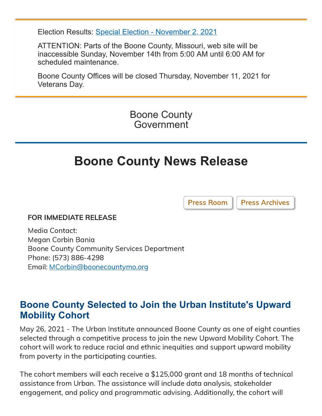Election Results: [Special Election - November 2, 2021](https://showmeboone.com/clerk/elections/results/20211102SSP.pdf)

ATTENTION: Parts of the Boone County, Missouri, web site will be inaccessible Sunday, November 14th from 5:00 AM until 6:00 AM for scheduled maintenance.

Boone County Offices will be closed Thursday, November 11, 2021 for Veterans Day.

> Boone County Government

# **Boone County News Release**

[Press Room](https://www.showmeboone.com/commission/press-room.asp) | [Press Archives](https://www.showmeboone.com/commission/press-archives.asp)

#### FOR IMMEDIATE RELEASE

Media Contact: Megan Corbin Bania Boone County Community Services Department Phone: (573) 886-4298 Email: [MCorbin@boonecountymo.org](mailto:MCorbin@boonecountymo.org)

## **Boone County Selected to Join the Urban Institute's Upward Mobility Cohort**

May 26, 2021 - The Urban Institute announced Boone County as one of eight counties selected through a competitive process to join the new Upward Mobility Cohort. The cohort will work to reduce racial and ethnic inequities and support upward mobility from poverty in the participating counties.

The cohort members will each receive a \$125,000 grant and 18 months of technical assistance from Urban. The assistance will include data analysis, stakeholder engagement, and policy and programmatic advising. Additionally, the cohort will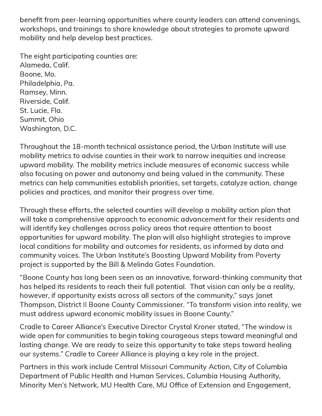benefit from peer-learning opportunities where county leaders can attend convenings, workshops, and trainings to share knowledge about strategies to promote upward mobility and help develop best practices.

The eight participating counties are: Alameda, Calif. Boone, Mo. Philadelphia, Pa. Ramsey, Minn. Riverside, Calif. St. Lucie, Fla. Summit, Ohio Washington, D.C.

Throughout the 18-month technical assistance period, the Urban Institute will use mobility metrics to advise counties in their work to narrow inequities and increase upward mobility. The mobility metrics include measures of economic success while also focusing on power and autonomy and being valued in the community. These metrics can help communities establish priorities, set targets, catalyze action, change policies and practices, and monitor their progress over time.

Through these efforts, the selected counties will develop a mobility action plan that will take a comprehensive approach to economic advancement for their residents and will identify key challenges across policy areas that require attention to boost opportunities for upward mobility. The plan will also highlight strategies to improve local conditions for mobility and outcomes for residents, as informed by data and community voices. The Urban Institute's Boosting Upward Mobility from Poverty project is supported by the Bill & Melinda Gates Foundation.

"Boone County has long been seen as an innovative, forward-thinking community that has helped its residents to reach their full potential. That vision can only be a reality, however, if opportunity exists across all sectors of the community," says Janet Thompson, District II Boone County Commissioner. "To transform vision into reality, we must address upward economic mobility issues in Boone County."

Cradle to Career Alliance's Executive Director Crystal Kroner stated, "The window is wide open for communities to begin taking courageous steps toward meaningful and lasting change. We are ready to seize this opportunity to take steps toward healing our systems." Cradle to Career Alliance is playing a key role in the project.

Partners in this work include Central Missouri Community Action, City of Columbia Department of Public Health and Human Services, Columbia Housing Authority, Minority Men's Network, MU Health Care, MU Office of Extension and Engagement,